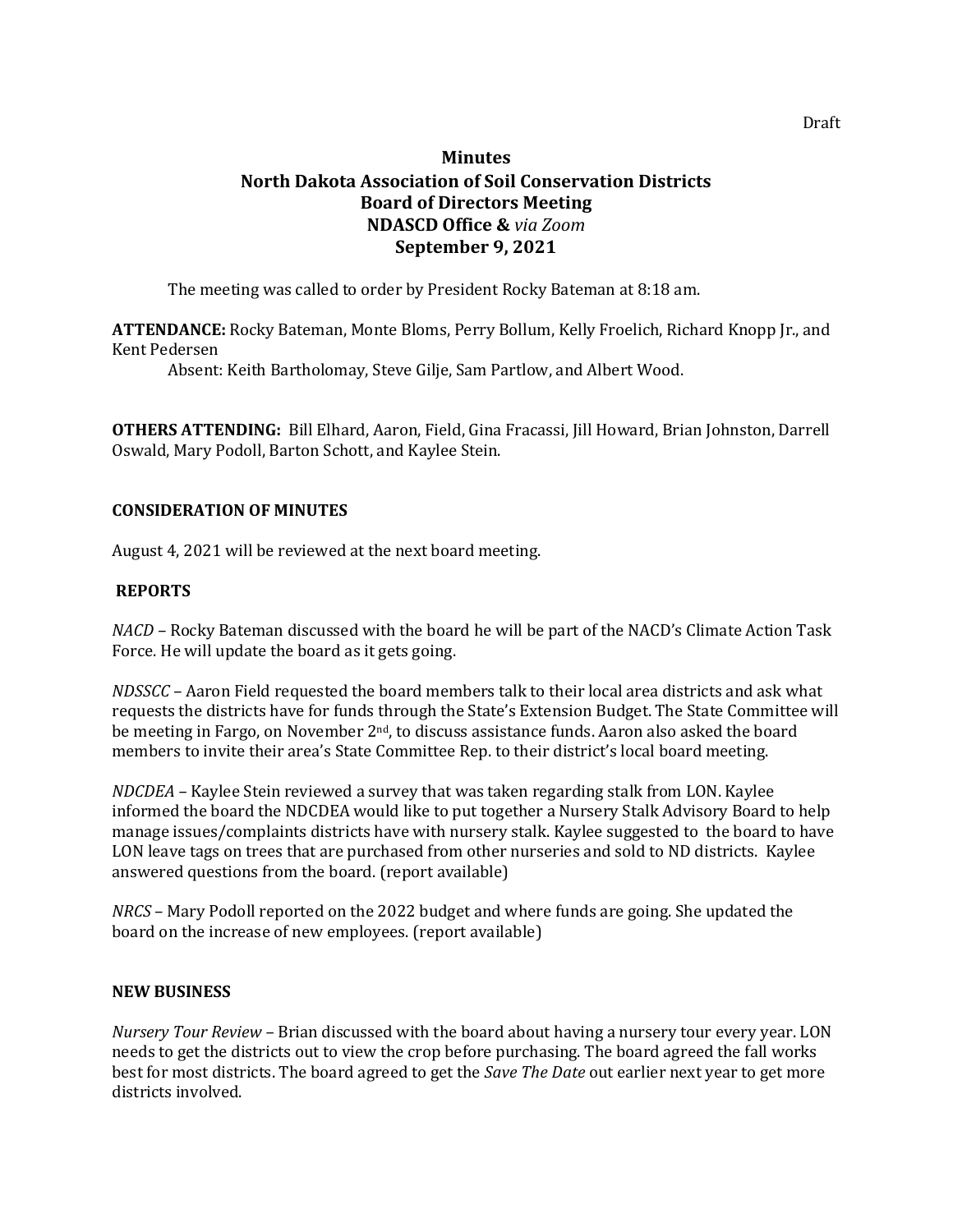# **Minutes North Dakota Association of Soil Conservation Districts Board of Directors Meeting NDASCD Office &** *via Zoom* **September 9, 2021**

The meeting was called to order by President Rocky Bateman at 8:18 am.

**ATTENDANCE:** Rocky Bateman, Monte Bloms, Perry Bollum, Kelly Froelich, Richard Knopp Jr., and Kent Pedersen

Absent: Keith Bartholomay, Steve Gilje, Sam Partlow, and Albert Wood.

**OTHERS ATTENDING:** Bill Elhard, Aaron, Field, Gina Fracassi, Jill Howard, Brian Johnston, Darrell Oswald, Mary Podoll, Barton Schott, and Kaylee Stein.

## **CONSIDERATION OF MINUTES**

August 4, 2021 will be reviewed at the next board meeting.

## **REPORTS**

*NACD –* Rocky Bateman discussed with the board he will be part of the NACD's Climate Action Task Force. He will update the board as it gets going.

*NDSSCC –* Aaron Field requested the board members talk to their local area districts and ask what requests the districts have for funds through the State's Extension Budget. The State Committee will be meeting in Fargo, on November 2<sup>nd</sup>, to discuss assistance funds. Aaron also asked the board members to invite their area's State Committee Rep. to their district's local board meeting.

*NDCDEA –* Kaylee Stein reviewed a survey that was taken regarding stalk from LON. Kaylee informed the board the NDCDEA would like to put together a Nursery Stalk Advisory Board to help manage issues/complaints districts have with nursery stalk. Kaylee suggested to the board to have LON leave tags on trees that are purchased from other nurseries and sold to ND districts. Kaylee answered questions from the board. (report available)

*NRCS* – Mary Podoll reported on the 2022 budget and where funds are going. She updated the board on the increase of new employees. (report available)

#### **NEW BUSINESS**

*Nursery Tour Review –* Brian discussed with the board about having a nursery tour every year. LON needs to get the districts out to view the crop before purchasing. The board agreed the fall works best for most districts. The board agreed to get the *Save The Date* out earlier next year to get more districts involved.